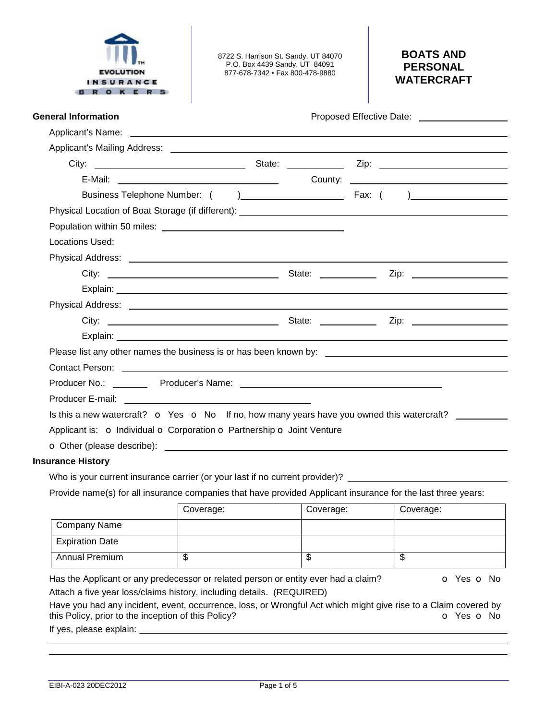

8722 S. Harrison St. Sandy, UT 84070 P.O. Box 4439 Sandy, UT 84091 877-678-7342 • Fax 800-478-9880

# **BOATS AND PERSONAL WATERCRAFT**

# **General Information Proposed Effective Date: Proposed Effective Date:**

| 'roposed Effective Date: |  |
|--------------------------|--|
|                          |  |

|                                                                                                                                                                                                                                          | County: | <u> Alexandria de la contrada de la contrada de la contrada de la contrada de la contrada de la contrada de la c</u> |
|------------------------------------------------------------------------------------------------------------------------------------------------------------------------------------------------------------------------------------------|---------|----------------------------------------------------------------------------------------------------------------------|
|                                                                                                                                                                                                                                          |         | $\sum_{i=1}^{n}$                                                                                                     |
|                                                                                                                                                                                                                                          |         |                                                                                                                      |
|                                                                                                                                                                                                                                          |         |                                                                                                                      |
| Locations Used:                                                                                                                                                                                                                          |         |                                                                                                                      |
|                                                                                                                                                                                                                                          |         |                                                                                                                      |
|                                                                                                                                                                                                                                          |         |                                                                                                                      |
| Explain: <u>contract and contract and contract and contract and contract and contract and contract and contract and contract and contract and contract and contract and contract and contract and contract and contract and cont</u>     |         |                                                                                                                      |
|                                                                                                                                                                                                                                          |         |                                                                                                                      |
|                                                                                                                                                                                                                                          |         |                                                                                                                      |
| Explain: North Communication of the Communication of the Communication of the Communication of the Communication of the Communication of the Communication of the Communication of the Communication of the Communication of t           |         |                                                                                                                      |
|                                                                                                                                                                                                                                          |         |                                                                                                                      |
|                                                                                                                                                                                                                                          |         |                                                                                                                      |
|                                                                                                                                                                                                                                          |         |                                                                                                                      |
|                                                                                                                                                                                                                                          |         |                                                                                                                      |
| Is this a new watercraft? $\bullet$ Yes $\bullet$ No If no, how many years have you owned this watercraft?                                                                                                                               |         |                                                                                                                      |
| Applicant is: o Individual o Corporation o Partnership o Joint Venture                                                                                                                                                                   |         |                                                                                                                      |
| <b>O</b> Other (please describe): <b>Example 2</b> and 2 and 2 and 2 and 2 and 2 and 2 and 2 and 2 and 2 and 2 and 2 and 2 and 2 and 2 and 2 and 2 and 2 and 2 and 2 and 2 and 2 and 2 and 2 and 2 and 2 and 2 and 2 and 2 and 2 and 2 a |         |                                                                                                                      |
|                                                                                                                                                                                                                                          |         |                                                                                                                      |

#### **Insurance History**

Who is your current insurance carrier (or your last if no current provider)?

Provide name(s) for all insurance companies that have provided Applicant insurance for the last three years:

|                        | Coverage: | Coverage: | Coverage: |
|------------------------|-----------|-----------|-----------|
| Company Name           |           |           |           |
| <b>Expiration Date</b> |           |           |           |
| <b>Annual Premium</b>  | œ<br>D    | จ         | Φ         |

Has the Applicant or any predecessor or related person or entity ever had a claim?  $\bullet$  Yes  $\bullet$  No Attach a five year loss/claims history, including details. (REQUIRED)

Have you had any incident, event, occurrence, loss, or Wrongful Act which might give rise to a Claim covered by<br>this Policy, prior to the inception of this Policy? this Policy, prior to the inception of this Policy?

If yes, please explain: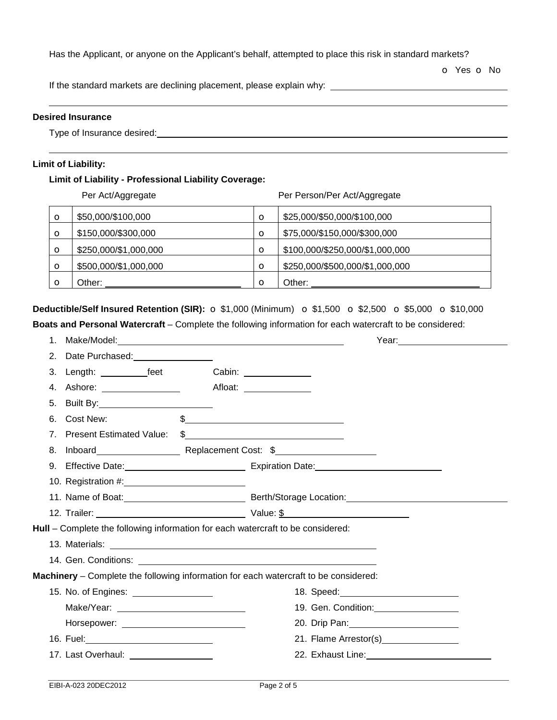Has the Applicant, or anyone on the Applicant's behalf, attempted to place this risk in standard markets?

o Yes o No

If the standard markets are declining placement, please explain why:

### **Desired Insurance**

Type of Insurance desired: **contain the Contract of Insurance desired: Contract of Insurance desired:** 

### **Limit of Liability:**

## **Limit of Liability - Professional Liability Coverage:**

|          | Per Act/Aggregate     |          | Per Person/Per Act/Aggregate    |
|----------|-----------------------|----------|---------------------------------|
| $\circ$  | \$50,000/\$100,000    | $\circ$  | \$25,000/\$50,000/\$100,000     |
| $\circ$  | \$150,000/\$300,000   | $\circ$  | \$75,000/\$150,000/\$300,000    |
| $\circ$  | \$250,000/\$1,000,000 | $\circ$  | \$100,000/\$250,000/\$1,000,000 |
| $\circ$  | \$500,000/\$1,000,000 | $\circ$  | \$250,000/\$500,000/\$1,000,000 |
| $\Omega$ | Other:                | $\Omega$ | Other:                          |

## **Deductible/Self Insured Retention (SIR):** o \$1,000 (Minimum) o \$1,500 o \$2,500 o \$5,000 o \$10,000

**Boats and Personal Watercraft** – Complete the following information for each watercraft to be considered:

| 1 <sub>1</sub>                 |                                                                                                                                                                                                                                | Year: 2008 2010 2021 2022 2022 2023 2024 2022 2022 2023 2024 2022 2023 2024 2022 2023 2024 2025 2026 2027 2028                                                                                                                |
|--------------------------------|--------------------------------------------------------------------------------------------------------------------------------------------------------------------------------------------------------------------------------|-------------------------------------------------------------------------------------------------------------------------------------------------------------------------------------------------------------------------------|
| 2.                             | Date Purchased: __________________                                                                                                                                                                                             |                                                                                                                                                                                                                               |
| 3.                             | Length: <u>____________feet</u>                                                                                                                                                                                                | Cabin: ______________                                                                                                                                                                                                         |
| 4.                             | Ashore: The contract of the contract of the contract of the contract of the contract of the contract of the contract of the contract of the contract of the contract of the contract of the contract of the contract of the co | Afloat: Aflow African African African African African African African African African African African African African African African African African African African African African African African African African African |
| 5.                             |                                                                                                                                                                                                                                |                                                                                                                                                                                                                               |
| 6.                             | Cost New:                                                                                                                                                                                                                      | $\frac{1}{2}$                                                                                                                                                                                                                 |
| $7_{\scriptscriptstyle{\sim}}$ | <b>Present Estimated Value:</b>                                                                                                                                                                                                | $\frac{1}{2}$                                                                                                                                                                                                                 |
| 8.                             |                                                                                                                                                                                                                                | Inboard <b>Neplacement Cost: \$</b>                                                                                                                                                                                           |
|                                |                                                                                                                                                                                                                                |                                                                                                                                                                                                                               |
|                                |                                                                                                                                                                                                                                |                                                                                                                                                                                                                               |
|                                |                                                                                                                                                                                                                                |                                                                                                                                                                                                                               |
|                                |                                                                                                                                                                                                                                |                                                                                                                                                                                                                               |
|                                |                                                                                                                                                                                                                                | Hull - Complete the following information for each watercraft to be considered:                                                                                                                                               |
|                                |                                                                                                                                                                                                                                |                                                                                                                                                                                                                               |
|                                |                                                                                                                                                                                                                                |                                                                                                                                                                                                                               |
|                                |                                                                                                                                                                                                                                |                                                                                                                                                                                                                               |
|                                |                                                                                                                                                                                                                                | Machinery - Complete the following information for each watercraft to be considered:                                                                                                                                          |
|                                | 15. No. of Engines: _________________                                                                                                                                                                                          |                                                                                                                                                                                                                               |
|                                |                                                                                                                                                                                                                                |                                                                                                                                                                                                                               |
|                                |                                                                                                                                                                                                                                |                                                                                                                                                                                                                               |
|                                |                                                                                                                                                                                                                                | 21. Flame Arrestor(s) ________________                                                                                                                                                                                        |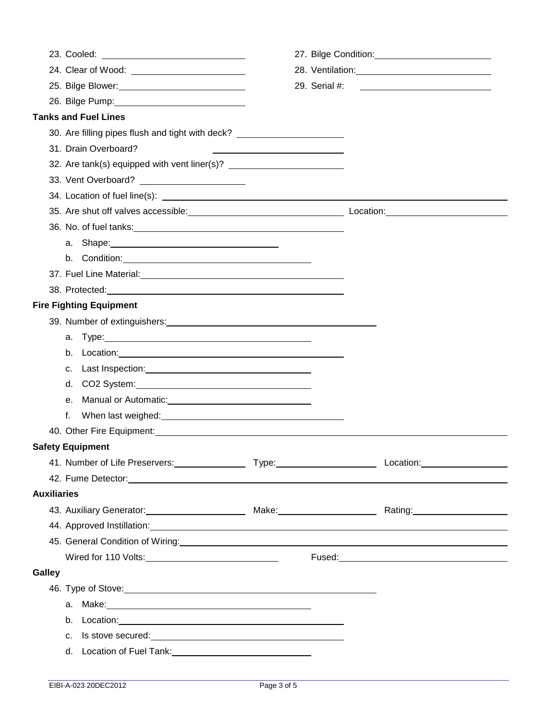|                                                                                                                                                                                                                                      |                                                                                                                                                                                                                                |               | 28. Ventilation: 28. Ventilation:                                                   |
|--------------------------------------------------------------------------------------------------------------------------------------------------------------------------------------------------------------------------------------|--------------------------------------------------------------------------------------------------------------------------------------------------------------------------------------------------------------------------------|---------------|-------------------------------------------------------------------------------------|
|                                                                                                                                                                                                                                      |                                                                                                                                                                                                                                | 29. Serial #: |                                                                                     |
| 26. Bilge Pump: 26. Bilge Pump:                                                                                                                                                                                                      |                                                                                                                                                                                                                                |               |                                                                                     |
| <b>Tanks and Fuel Lines</b>                                                                                                                                                                                                          |                                                                                                                                                                                                                                |               |                                                                                     |
| 30. Are filling pipes flush and tight with deck? _______________________________                                                                                                                                                     |                                                                                                                                                                                                                                |               |                                                                                     |
| 31. Drain Overboard?                                                                                                                                                                                                                 |                                                                                                                                                                                                                                |               |                                                                                     |
| 32. Are tank(s) equipped with vent liner(s)? ___________________________________                                                                                                                                                     |                                                                                                                                                                                                                                |               |                                                                                     |
|                                                                                                                                                                                                                                      |                                                                                                                                                                                                                                |               |                                                                                     |
| 34. Location of fuel line(s): <u>contained a set of the set of the set of the set of the set of the set of the set of the set of the set of the set of the set of the set of the set of the set of the set of the set of the set</u> |                                                                                                                                                                                                                                |               |                                                                                     |
|                                                                                                                                                                                                                                      |                                                                                                                                                                                                                                |               |                                                                                     |
|                                                                                                                                                                                                                                      |                                                                                                                                                                                                                                |               |                                                                                     |
|                                                                                                                                                                                                                                      |                                                                                                                                                                                                                                |               |                                                                                     |
|                                                                                                                                                                                                                                      |                                                                                                                                                                                                                                |               |                                                                                     |
|                                                                                                                                                                                                                                      |                                                                                                                                                                                                                                |               |                                                                                     |
|                                                                                                                                                                                                                                      |                                                                                                                                                                                                                                |               |                                                                                     |
| <b>Fire Fighting Equipment</b>                                                                                                                                                                                                       |                                                                                                                                                                                                                                |               |                                                                                     |
| 39. Number of extinguishers: <b>contained a set of extinguishers</b> and the set of extinguishers and the set of the set of the set of the set of the set of the set of the set of the set of the set of the set of the set of the   |                                                                                                                                                                                                                                |               |                                                                                     |
|                                                                                                                                                                                                                                      | а. Туре: 1998. 1999. 1999. 1999. 1999. 1999. 1999. 1999. 1999. 1999. 1999. 1999. 1999. 1999. 1999. 1999. 1999. 1999. 1999. 1999. 1999. 1999. 1999. 1999. 1999. 1999. 1999. 1999. 1999. 1999. 1999. 1999. 1999. 1999. 1999. 199 |               |                                                                                     |
|                                                                                                                                                                                                                                      |                                                                                                                                                                                                                                |               |                                                                                     |
| C.                                                                                                                                                                                                                                   | Last Inspection: <u>contained and all allegerations</u>                                                                                                                                                                        |               |                                                                                     |
|                                                                                                                                                                                                                                      |                                                                                                                                                                                                                                |               |                                                                                     |
| $e_{1}$                                                                                                                                                                                                                              | Manual or Automatic: Manual Accords National Accords National Accords National Accords National Accords National Accords National Accords National Accords National Accords National Accords National Accords National Accords |               |                                                                                     |
| f.                                                                                                                                                                                                                                   |                                                                                                                                                                                                                                |               |                                                                                     |
|                                                                                                                                                                                                                                      |                                                                                                                                                                                                                                |               |                                                                                     |
| <b>Safety Equipment</b>                                                                                                                                                                                                              |                                                                                                                                                                                                                                |               |                                                                                     |
|                                                                                                                                                                                                                                      |                                                                                                                                                                                                                                |               |                                                                                     |
| 42. Fume Detector: <u>Cambridge Communication</u> Communication of the Communication Communication Communication Communication                                                                                                       |                                                                                                                                                                                                                                |               |                                                                                     |
| <b>Auxiliaries</b>                                                                                                                                                                                                                   |                                                                                                                                                                                                                                |               |                                                                                     |
|                                                                                                                                                                                                                                      |                                                                                                                                                                                                                                |               | 43. Auxiliary Generator: <u>[11] [2008]</u> Make: Make: Make: Rating: Rating: 2008. |
| 44. Approved Instillation: <u>contact and a series of the series of the series of the series of the series of the series of the series of the series of the series of the series of the series of the series of the series of th</u> |                                                                                                                                                                                                                                |               |                                                                                     |
|                                                                                                                                                                                                                                      |                                                                                                                                                                                                                                |               |                                                                                     |
|                                                                                                                                                                                                                                      |                                                                                                                                                                                                                                |               |                                                                                     |
| Galley                                                                                                                                                                                                                               |                                                                                                                                                                                                                                |               |                                                                                     |
|                                                                                                                                                                                                                                      |                                                                                                                                                                                                                                |               |                                                                                     |
|                                                                                                                                                                                                                                      | a. Make: 2008. All and 2008. The contract of the contract of the contract of the contract of the contract of the contract of the contract of the contract of the contract of the contract of the contract of the contract of t |               |                                                                                     |
|                                                                                                                                                                                                                                      | b. Location: example and the set of the set of the set of the set of the set of the set of the set of the set of the set of the set of the set of the set of the set of the set of the set of the set of the set of the set of |               |                                                                                     |
| C.                                                                                                                                                                                                                                   | Is stove secured: <u>contained</u>                                                                                                                                                                                             |               |                                                                                     |
|                                                                                                                                                                                                                                      |                                                                                                                                                                                                                                |               |                                                                                     |
|                                                                                                                                                                                                                                      |                                                                                                                                                                                                                                |               |                                                                                     |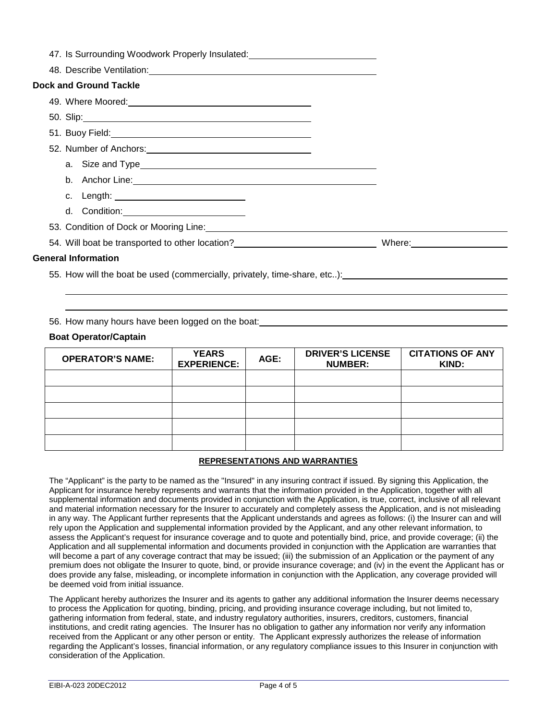| 47. Is Surrounding Woodwork Properly Insulated: ________________________________                                                                                                          |  |
|-------------------------------------------------------------------------------------------------------------------------------------------------------------------------------------------|--|
|                                                                                                                                                                                           |  |
| <b>Dock and Ground Tackle</b>                                                                                                                                                             |  |
|                                                                                                                                                                                           |  |
|                                                                                                                                                                                           |  |
|                                                                                                                                                                                           |  |
|                                                                                                                                                                                           |  |
|                                                                                                                                                                                           |  |
|                                                                                                                                                                                           |  |
|                                                                                                                                                                                           |  |
|                                                                                                                                                                                           |  |
| 53. Condition of Dock or Mooring Line: Manual According to the Conditional According to the Condition of Dock or Mooring Line: Manual According to the Condition of Dock or Mooring Line: |  |
| 54. Will boat be transported to other location? _________________________________ Where: _____________________                                                                            |  |
| <b>General Information</b>                                                                                                                                                                |  |
|                                                                                                                                                                                           |  |

55. How will the boat be used (commercially, privately, time-share, etc..):

56. How many hours have been logged on the boat:

#### **Boat Operator/Captain**

 

| <b>OPERATOR'S NAME:</b> | <b>YEARS</b><br><b>EXPERIENCE:</b> | AGE: | <b>DRIVER'S LICENSE</b><br><b>NUMBER:</b> | <b>CITATIONS OF ANY</b><br>KIND: |
|-------------------------|------------------------------------|------|-------------------------------------------|----------------------------------|
|                         |                                    |      |                                           |                                  |
|                         |                                    |      |                                           |                                  |
|                         |                                    |      |                                           |                                  |
|                         |                                    |      |                                           |                                  |
|                         |                                    |      |                                           |                                  |

### **REPRESENTATIONS AND WARRANTIES**

The "Applicant" is the party to be named as the "Insured" in any insuring contract if issued. By signing this Application, the Applicant for insurance hereby represents and warrants that the information provided in the Application, together with all supplemental information and documents provided in conjunction with the Application, is true, correct, inclusive of all relevant and material information necessary for the Insurer to accurately and completely assess the Application, and is not misleading in any way. The Applicant further represents that the Applicant understands and agrees as follows: (i) the Insurer can and will rely upon the Application and supplemental information provided by the Applicant, and any other relevant information, to assess the Applicant's request for insurance coverage and to quote and potentially bind, price, and provide coverage; (ii) the Application and all supplemental information and documents provided in conjunction with the Application are warranties that will become a part of any coverage contract that may be issued; (iii) the submission of an Application or the payment of any premium does not obligate the Insurer to quote, bind, or provide insurance coverage; and (iv) in the event the Applicant has or does provide any false, misleading, or incomplete information in conjunction with the Application, any coverage provided will be deemed void from initial issuance.

The Applicant hereby authorizes the Insurer and its agents to gather any additional information the Insurer deems necessary to process the Application for quoting, binding, pricing, and providing insurance coverage including, but not limited to, gathering information from federal, state, and industry regulatory authorities, insurers, creditors, customers, financial institutions, and credit rating agencies. The Insurer has no obligation to gather any information nor verify any information received from the Applicant or any other person or entity. The Applicant expressly authorizes the release of information regarding the Applicant's losses, financial information, or any regulatory compliance issues to this Insurer in conjunction with consideration of the Application.